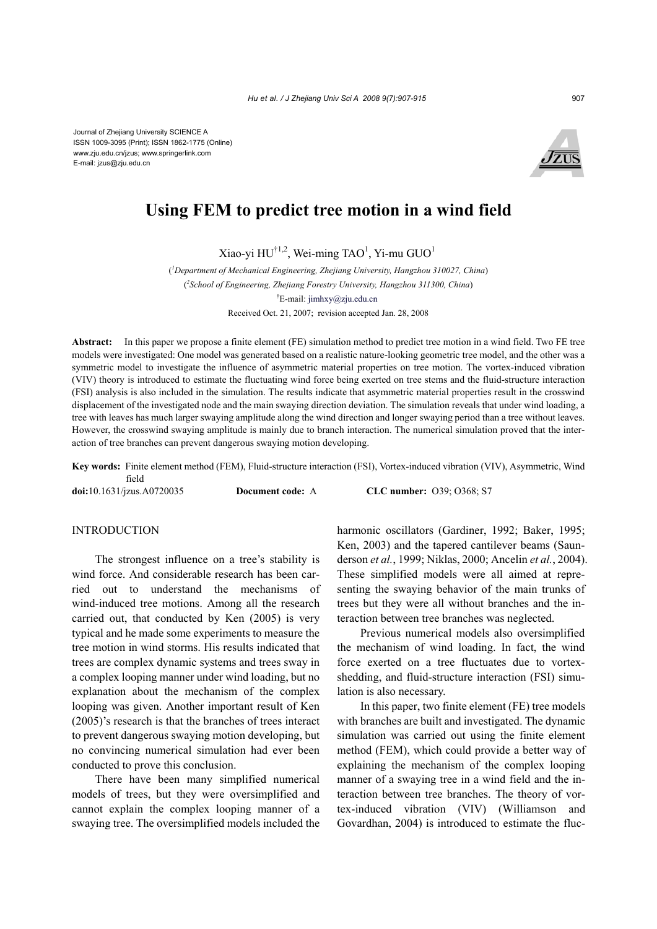

# **Using FEM to predict tree motion in a wind field**

Xiao-yi HU<sup>†1,2</sup>, Wei-ming TAO<sup>1</sup>, Yi-mu GUO<sup>1</sup>

( *1 Department of Mechanical Engineering, Zhejiang University, Hangzhou 310027, China*) ( *2 School of Engineering, Zhejiang Forestry University, Hangzhou 311300, China*) † E-mail: jimhxy@zju.edu.cn Received Oct. 21, 2007; revision accepted Jan. 28, 2008

**Abstract:** In this paper we propose a finite element (FE) simulation method to predict tree motion in a wind field. Two FE tree models were investigated: One model was generated based on a realistic nature-looking geometric tree model, and the other was a symmetric model to investigate the influence of asymmetric material properties on tree motion. The vortex-induced vibration (VIV) theory is introduced to estimate the fluctuating wind force being exerted on tree stems and the fluid-structure interaction (FSI) analysis is also included in the simulation. The results indicate that asymmetric material properties result in the crosswind displacement of the investigated node and the main swaying direction deviation. The simulation reveals that under wind loading, a tree with leaves has much larger swaying amplitude along the wind direction and longer swaying period than a tree without leaves. However, the crosswind swaying amplitude is mainly due to branch interaction. The numerical simulation proved that the interaction of tree branches can prevent dangerous swaying motion developing.

**Key words:** Finite element method (FEM), Fluid-structure interaction (FSI), Vortex-induced vibration (VIV), Asymmetric, Wind field

**doi:**10.1631/jzus.A0720035 **Document code:** A **CLC number:** O39; O368; S7

## **INTRODUCTION**

The strongest influence on a tree's stability is wind force. And considerable research has been carried out to understand the mechanisms of wind-induced tree motions. Among all the research carried out, that conducted by Ken (2005) is very typical and he made some experiments to measure the tree motion in wind storms. His results indicated that trees are complex dynamic systems and trees sway in a complex looping manner under wind loading, but no explanation about the mechanism of the complex looping was given. Another important result of Ken (2005)'s research is that the branches of trees interact to prevent dangerous swaying motion developing, but no convincing numerical simulation had ever been conducted to prove this conclusion.

There have been many simplified numerical models of trees, but they were oversimplified and cannot explain the complex looping manner of a swaying tree. The oversimplified models included the harmonic oscillators (Gardiner, 1992; Baker, 1995; Ken, 2003) and the tapered cantilever beams (Saunderson *et al.*, 1999; Niklas, 2000; Ancelin *et al.*, 2004). These simplified models were all aimed at representing the swaying behavior of the main trunks of trees but they were all without branches and the interaction between tree branches was neglected.

Previous numerical models also oversimplified the mechanism of wind loading. In fact, the wind force exerted on a tree fluctuates due to vortexshedding, and fluid-structure interaction (FSI) simulation is also necessary.

In this paper, two finite element (FE) tree models with branches are built and investigated. The dynamic simulation was carried out using the finite element method (FEM), which could provide a better way of explaining the mechanism of the complex looping manner of a swaying tree in a wind field and the interaction between tree branches. The theory of vortex-induced vibration (VIV) (Williamson and Govardhan, 2004) is introduced to estimate the fluc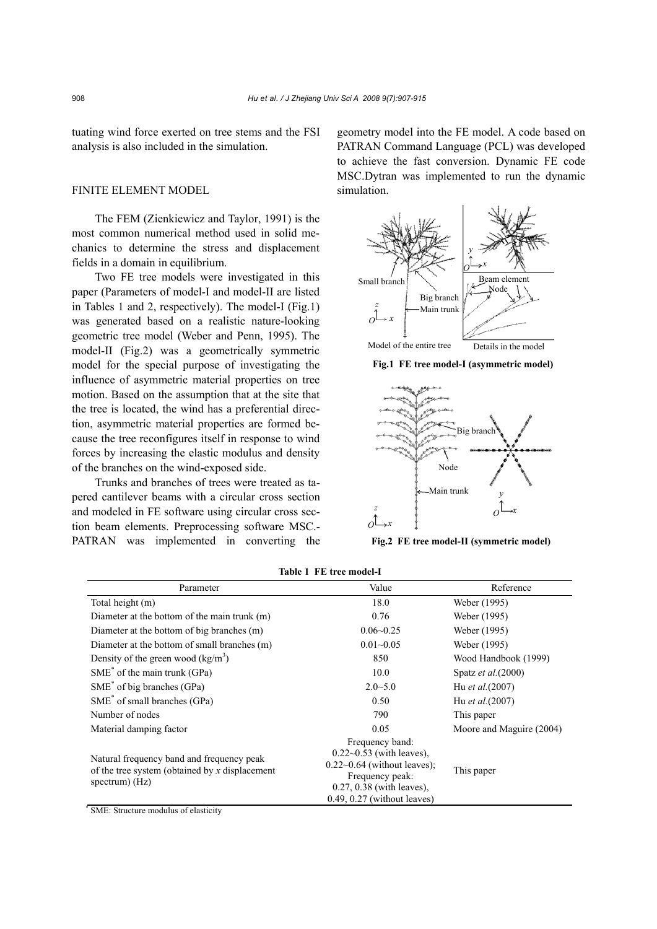tuating wind force exerted on tree stems and the FSI analysis is also included in the simulation.

## FINITE ELEMENT MODEL

The FEM (Zienkiewicz and Taylor, 1991) is the most common numerical method used in solid mechanics to determine the stress and displacement fields in a domain in equilibrium.

Two FE tree models were investigated in this paper (Parameters of model-I and model-II are listed in Tables 1 and 2, respectively). The model-I (Fig.1) was generated based on a realistic nature-looking geometric tree model (Weber and Penn, 1995). The model-II (Fig.2) was a geometrically symmetric model for the special purpose of investigating the influence of asymmetric material properties on tree motion. Based on the assumption that at the site that the tree is located, the wind has a preferential direction, asymmetric material properties are formed because the tree reconfigures itself in response to wind forces by increasing the elastic modulus and density of the branches on the wind-exposed side.

Trunks and branches of trees were treated as tapered cantilever beams with a circular cross section and modeled in FE software using circular cross section beam elements. Preprocessing software MSC.- PATRAN was implemented in converting the geometry model into the FE model. A code based on PATRAN Command Language (PCL) was developed to achieve the fast conversion. Dynamic FE code MSC.Dytran was implemented to run the dynamic simulation.



**Fig.1 FE tree model-I (asymmetric model)** 



**Fig.2 FE tree model-II (symmetric model)** 

| Parameter                                                                                                       | Value                                                                                                                                                               | Reference                  |  |
|-----------------------------------------------------------------------------------------------------------------|---------------------------------------------------------------------------------------------------------------------------------------------------------------------|----------------------------|--|
| Total height (m)                                                                                                | 18.0                                                                                                                                                                | Weber (1995)               |  |
| Diameter at the bottom of the main trunk (m)                                                                    | 0.76                                                                                                                                                                | Weber (1995)               |  |
| Diameter at the bottom of big branches (m)                                                                      | $0.06 - 0.25$                                                                                                                                                       | Weber (1995)               |  |
| Diameter at the bottom of small branches (m)                                                                    | $0.01 - 0.05$                                                                                                                                                       | Weber (1995)               |  |
| Density of the green wood $(kg/m3)$                                                                             | 850                                                                                                                                                                 | Wood Handbook (1999)       |  |
| $SME^*$ of the main trunk (GPa)                                                                                 | 10.0                                                                                                                                                                | Spatz <i>et al.</i> (2000) |  |
| $SME^*$ of big branches (GPa)                                                                                   | $2.0 - 5.0$                                                                                                                                                         | Hu <i>et al.</i> (2007)    |  |
| $SME^*$ of small branches (GPa)                                                                                 | 0.50                                                                                                                                                                | Hu <i>et al.</i> (2007)    |  |
| Number of nodes                                                                                                 | 790                                                                                                                                                                 | This paper                 |  |
| Material damping factor                                                                                         | 0.05                                                                                                                                                                | Moore and Maguire (2004)   |  |
| Natural frequency band and frequency peak<br>of the tree system (obtained by x displacement<br>spectrum) $(Hz)$ | Frequency band:<br>$0.22 - 0.53$ (with leaves),<br>$0.22~0.64$ (without leaves);<br>Frequency peak:<br>$0.27, 0.38$ (with leaves),<br>$0.49, 0.27$ (without leaves) | This paper                 |  |

**Table 1 FE tree model-I**

\* SME: Structure modulus of elasticity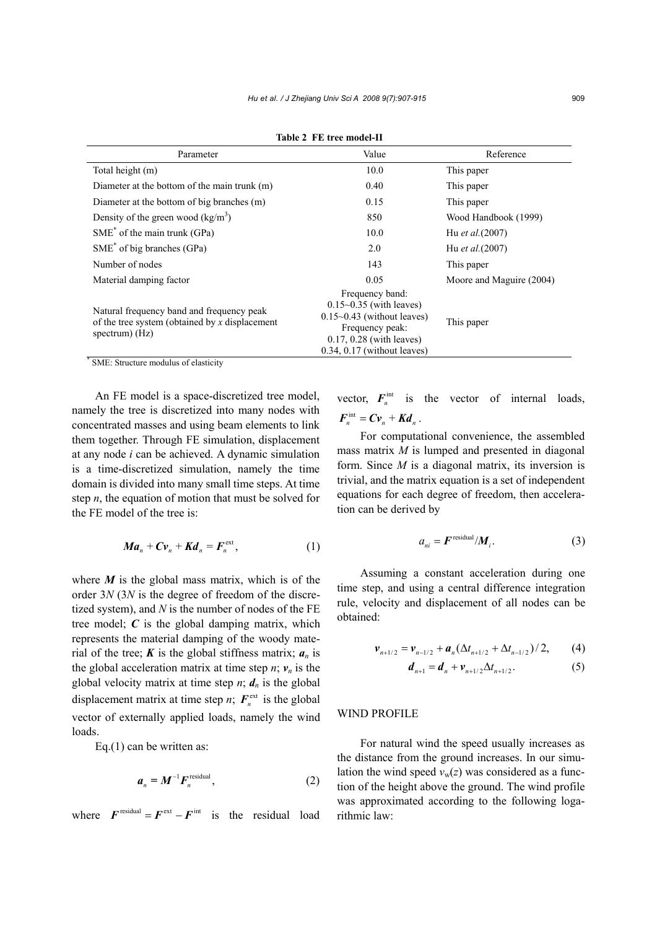| Parameter                                                                                                       | Value                                                                                                                                                                       | Reference                |
|-----------------------------------------------------------------------------------------------------------------|-----------------------------------------------------------------------------------------------------------------------------------------------------------------------------|--------------------------|
| Total height (m)                                                                                                | 10.0                                                                                                                                                                        | This paper               |
| Diameter at the bottom of the main trunk (m)                                                                    | 0.40                                                                                                                                                                        | This paper               |
| Diameter at the bottom of big branches (m)                                                                      | 0.15                                                                                                                                                                        | This paper               |
| Density of the green wood $(kg/m3)$                                                                             | 850                                                                                                                                                                         | Wood Handbook (1999)     |
| $SME^*$ of the main trunk (GPa)                                                                                 | 10.0                                                                                                                                                                        | Hu et al. (2007)         |
| $SME^*$ of big branches (GPa)                                                                                   | 2.0                                                                                                                                                                         | Hu et al. (2007)         |
| Number of nodes                                                                                                 | 143                                                                                                                                                                         | This paper               |
| Material damping factor                                                                                         | 0.05                                                                                                                                                                        | Moore and Maguire (2004) |
| Natural frequency band and frequency peak<br>of the tree system (obtained by x displacement<br>spectrum) $(Hz)$ | Frequency band:<br>$0.15 \sim 0.35$ (with leaves)<br>$0.15 \sim 0.43$ (without leaves)<br>Frequency peak:<br>$0.17, 0.28$ (with leaves)<br>$0.34$ , $0.17$ (without leaves) | This paper               |

**Table 2 FE tree model-II**

\* SME: Structure modulus of elasticity

An FE model is a space-discretized tree model, namely the tree is discretized into many nodes with concentrated masses and using beam elements to link them together. Through FE simulation, displacement at any node *i* can be achieved. A dynamic simulation is a time-discretized simulation, namely the time domain is divided into many small time steps. At time step *n*, the equation of motion that must be solved for the FE model of the tree is:

$$
Ma_n + Cv_n + Kd_n = F_n^{\text{ext}},
$$
 (1)

where  $M$  is the global mass matrix, which is of the order 3*N* (3*N* is the degree of freedom of the discretized system), and *N* is the number of nodes of the FE tree model; *C* is the global damping matrix, which represents the material damping of the woody material of the tree;  $\boldsymbol{K}$  is the global stiffness matrix;  $\boldsymbol{a}_n$  is the global acceleration matrix at time step  $n$ ;  $v_n$  is the global velocity matrix at time step  $n$ ;  $d_n$  is the global displacement matrix at time step *n*;  $\mathbf{F}_n^{\text{ext}}$  is the global vector of externally applied loads, namely the wind loads.

Eq.(1) can be written as:

$$
a_n = M^{-1} F_n^{\text{residual}}, \qquad (2)
$$

where  $\mathbf{F}^{\text{residual}} = \mathbf{F}^{\text{ext}} - \mathbf{F}^{\text{int}}$  is the residual load

vector,  $F_n^{\text{int}}$  is the vector of internal loads,  $\boldsymbol{F}_{n}^{\text{int}} = \boldsymbol{C} \boldsymbol{v}_{n} + \boldsymbol{K} \boldsymbol{d}_{n}$ .

For computational convenience, the assembled mass matrix *M* is lumped and presented in diagonal form. Since *M* is a diagonal matrix, its inversion is trivial, and the matrix equation is a set of independent equations for each degree of freedom, then acceleration can be derived by

$$
a_{ni} = \boldsymbol{F}^{\text{residual}} / \boldsymbol{M}_i. \tag{3}
$$

Assuming a constant acceleration during one time step, and using a central difference integration rule, velocity and displacement of all nodes can be obtained:

$$
\boldsymbol{v}_{n+1/2} = \boldsymbol{v}_{n-1/2} + \boldsymbol{a}_n (\Delta t_{n+1/2} + \Delta t_{n-1/2}) / 2, \qquad (4)
$$

$$
d_{n+1} = d_n + v_{n+1/2} \Delta t_{n+1/2}.
$$
 (5)

### WIND PROFILE

For natural wind the speed usually increases as the distance from the ground increases. In our simulation the wind speed  $v_w(z)$  was considered as a function of the height above the ground. The wind profile was approximated according to the following logarithmic law: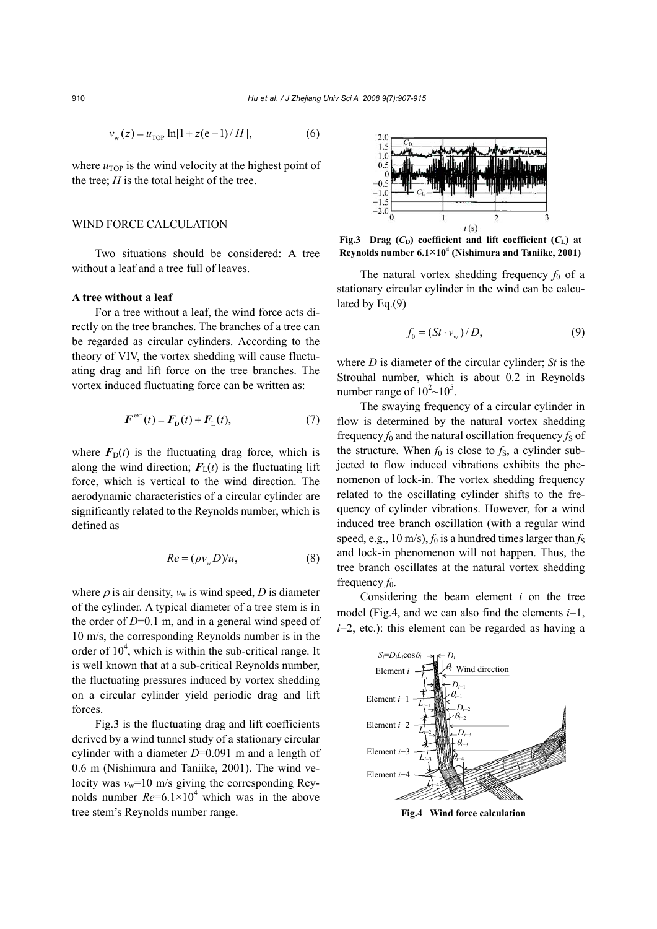$$
v_{\rm w}(z) = u_{\rm TOP} \ln[1 + z(e-1)/H],\tag{6}
$$

where  $u_{\text{TOP}}$  is the wind velocity at the highest point of the tree;  $H$  is the total height of the tree.

## WIND FORCE CALCULATION

Two situations should be considered: A tree without a leaf and a tree full of leaves.

#### **A tree without a leaf**

For a tree without a leaf, the wind force acts directly on the tree branches. The branches of a tree can be regarded as circular cylinders. According to the theory of VIV, the vortex shedding will cause fluctuating drag and lift force on the tree branches. The vortex induced fluctuating force can be written as:

$$
\boldsymbol{F}^{\text{ext}}(t) = \boldsymbol{F}_{\text{D}}(t) + \boldsymbol{F}_{\text{L}}(t),\tag{7}
$$

where  $F<sub>D</sub>(t)$  is the fluctuating drag force, which is along the wind direction;  $F<sub>L</sub>(t)$  is the fluctuating lift force, which is vertical to the wind direction. The aerodynamic characteristics of a circular cylinder are significantly related to the Reynolds number, which is defined as

$$
Re = (\rho v_w D) / u, \qquad (8)
$$

where  $\rho$  is air density,  $v_w$  is wind speed, *D* is diameter of the cylinder. A typical diameter of a tree stem is in the order of *D*=0.1 m, and in a general wind speed of 10 m/s, the corresponding Reynolds number is in the order of  $10<sup>4</sup>$ , which is within the sub-critical range. It is well known that at a sub-critical Reynolds number, the fluctuating pressures induced by vortex shedding on a circular cylinder yield periodic drag and lift **forces** 

Fig.3 is the fluctuating drag and lift coefficients derived by a wind tunnel study of a stationary circular cylinder with a diameter *D*=0.091 m and a length of 0.6 m (Nishimura and Taniike, 2001). The wind velocity was  $v_w$ =10 m/s giving the corresponding Reynolds number  $Re=6.1\times10^4$  which was in the above tree stem's Reynolds number range.



**Fig.3** Drag  $(C_D)$  coefficient and lift coefficient  $(C_L)$  at **Reynolds number 6.1×104 (Nishimura and Taniike, 2001)**

The natural vortex shedding frequency  $f_0$  of a stationary circular cylinder in the wind can be calculated by Eq.(9)

$$
f_0 = (St \cdot v_w) / D,\t\t(9)
$$

where *D* is diameter of the circular cylinder; *St* is the Strouhal number, which is about 0.2 in Reynolds number range of  $10^2$  ~  $10^5$ .

The swaying frequency of a circular cylinder in flow is determined by the natural vortex shedding frequency  $f_0$  and the natural oscillation frequency  $f_S$  of the structure. When  $f_0$  is close to  $f_s$ , a cylinder subjected to flow induced vibrations exhibits the phenomenon of lock-in. The vortex shedding frequency related to the oscillating cylinder shifts to the frequency of cylinder vibrations. However, for a wind induced tree branch oscillation (with a regular wind speed, e.g.,  $10 \text{ m/s}$ ,  $f_0$  is a hundred times larger than  $f_s$ and lock-in phenomenon will not happen. Thus, the tree branch oscillates at the natural vortex shedding frequency  $f_0$ .

Considering the beam element *i* on the tree model (Fig.4, and we can also find the elements *i*−1, *i*−2, etc.): this element can be regarded as having a



**Fig.4 Wind force calculation**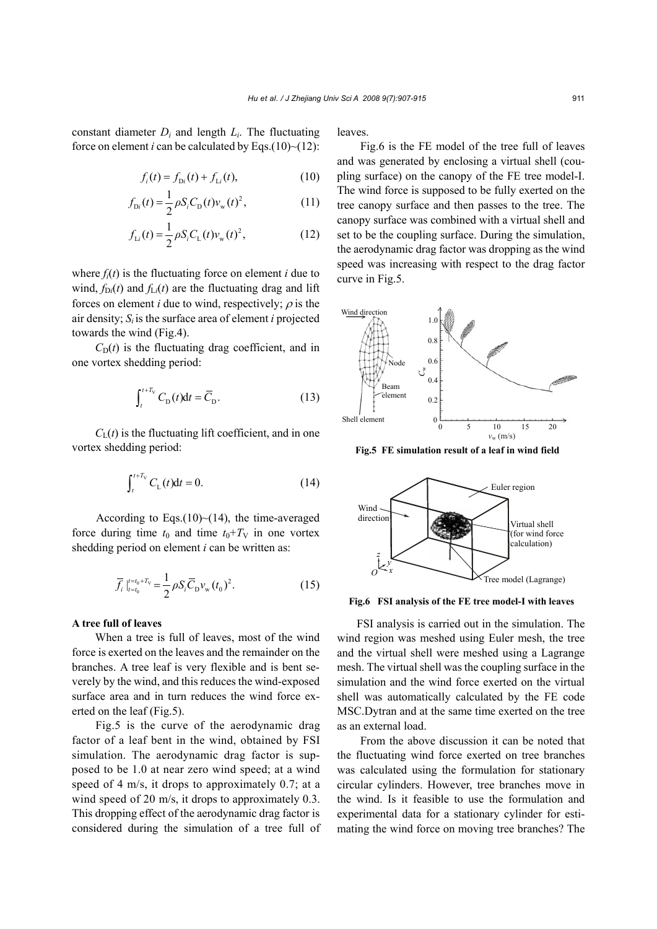constant diameter  $D_i$  and length  $L_i$ . The fluctuating force on element *i* can be calculated by Eqs.(10) $\sim$ (12):

$$
f_i(t) = f_{Di}(t) + f_{Li}(t),
$$
\n(10)

$$
f_{\text{Di}}(t) = \frac{1}{2} \rho S_i C_{\text{D}}(t) v_{\text{w}}(t)^2, \qquad (11)
$$

$$
f_{Li}(t) = \frac{1}{2} \rho S_i C_L(t) v_w(t)^2, \qquad (12)
$$

where  $f_i(t)$  is the fluctuating force on element *i* due to wind,  $f_{Di}(t)$  and  $f_{Li}(t)$  are the fluctuating drag and lift forces on element *i* due to wind, respectively;  $\rho$  is the air density; *Si* is the surface area of element *i* projected towards the wind (Fig.4).

 $C<sub>D</sub>(t)$  is the fluctuating drag coefficient, and in one vortex shedding period:

$$
\int_{t}^{t+T_{\rm V}} C_{\rm D}(t) \mathrm{d}t = \overline{C}_{\rm D}.
$$
 (13)

 $C_{L}(t)$  is the fluctuating lift coefficient, and in one vortex shedding period:

$$
\int_{t}^{t+T_{V}} C_{L}(t)dt = 0.
$$
 (14)

According to Eqs. $(10)$  (14), the time-averaged force during time  $t_0$  and time  $t_0+T_V$  in one vortex shedding period on element *i* can be written as:

$$
\overline{f}_i \big|_{t=t_0}^{t=t_0+T_V} = \frac{1}{2} \rho S_i \overline{C}_{\rm D} v_{\rm w} (t_0)^2. \tag{15}
$$

### **A tree full of leaves**

When a tree is full of leaves, most of the wind force is exerted on the leaves and the remainder on the branches. A tree leaf is very flexible and is bent severely by the wind, and this reduces the wind-exposed surface area and in turn reduces the wind force exerted on the leaf (Fig.5).

Fig.5 is the curve of the aerodynamic drag factor of a leaf bent in the wind, obtained by FSI simulation. The aerodynamic drag factor is supposed to be 1.0 at near zero wind speed; at a wind speed of 4 m/s, it drops to approximately 0.7; at a wind speed of 20 m/s, it drops to approximately 0.3. This dropping effect of the aerodynamic drag factor is considered during the simulation of a tree full of leaves.

Fig.6 is the FE model of the tree full of leaves and was generated by enclosing a virtual shell (coupling surface) on the canopy of the FE tree model-I. The wind force is supposed to be fully exerted on the tree canopy surface and then passes to the tree. The canopy surface was combined with a virtual shell and set to be the coupling surface. During the simulation, the aerodynamic drag factor was dropping as the wind speed was increasing with respect to the drag factor curve in Fig.5.



**Fig.5 FE simulation result of a leaf in wind field** 



**Fig.6 FSI analysis of the FE tree model-I with leaves**

FSI analysis is carried out in the simulation. The wind region was meshed using Euler mesh, the tree and the virtual shell were meshed using a Lagrange mesh. The virtual shell was the coupling surface in the simulation and the wind force exerted on the virtual shell was automatically calculated by the FE code MSC.Dytran and at the same time exerted on the tree as an external load.

From the above discussion it can be noted that the fluctuating wind force exerted on tree branches was calculated using the formulation for stationary circular cylinders. However, tree branches move in the wind. Is it feasible to use the formulation and experimental data for a stationary cylinder for estimating the wind force on moving tree branches? The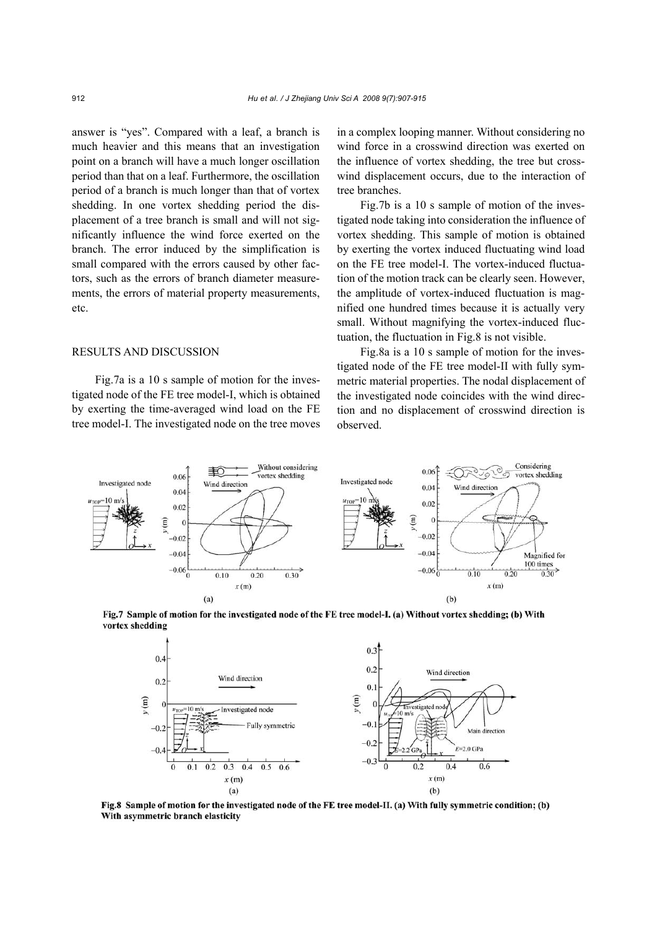answer is "yes". Compared with a leaf, a branch is much heavier and this means that an investigation point on a branch will have a much longer oscillation period than that on a leaf. Furthermore, the oscillation period of a branch is much longer than that of vortex shedding. In one vortex shedding period the displacement of a tree branch is small and will not significantly influence the wind force exerted on the branch. The error induced by the simplification is small compared with the errors caused by other factors, such as the errors of branch diameter measurements, the errors of material property measurements, etc.

#### RESULTS AND DISCUSSION

Fig.7a is a 10 s sample of motion for the investigated node of the FE tree model-I, which is obtained by exerting the time-averaged wind load on the FE tree model-I. The investigated node on the tree moves in a complex looping manner. Without considering no wind force in a crosswind direction was exerted on the influence of vortex shedding, the tree but crosswind displacement occurs, due to the interaction of tree branches.

Fig.7b is a 10 s sample of motion of the investigated node taking into consideration the influence of vortex shedding. This sample of motion is obtained by exerting the vortex induced fluctuating wind load on the FE tree model-I. The vortex-induced fluctuation of the motion track can be clearly seen. However, the amplitude of vortex-induced fluctuation is magnified one hundred times because it is actually very small. Without magnifying the vortex-induced fluctuation, the fluctuation in Fig.8 is not visible.

Fig.8a is a 10 s sample of motion for the investigated node of the FE tree model-II with fully symmetric material properties. The nodal displacement of the investigated node coincides with the wind direction and no displacement of crosswind direction is observed.







Fig.8 Sample of motion for the investigated node of the FE tree model-II. (a) With fully symmetric condition; (b) With asymmetric branch elasticity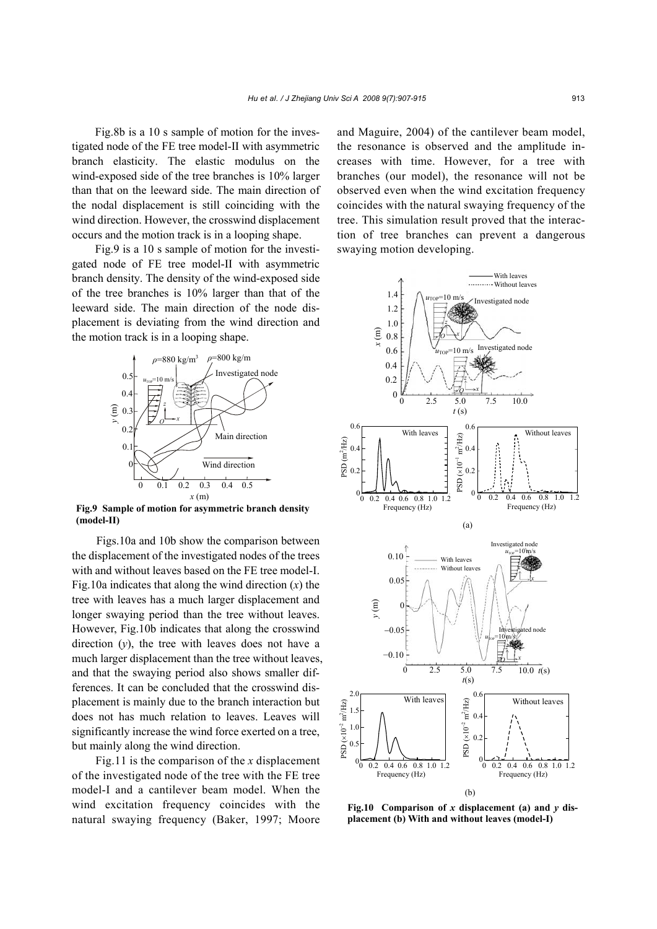Fig.8b is a 10 s sample of motion for the investigated node of the FE tree model-II with asymmetric branch elasticity. The elastic modulus on the wind-exposed side of the tree branches is 10% larger than that on the leeward side. The main direction of the nodal displacement is still coinciding with the wind direction. However, the crosswind displacement occurs and the motion track is in a looping shape.

Fig.9 is a 10 s sample of motion for the investigated node of FE tree model-II with asymmetric branch density. The density of the wind-exposed side of the tree branches is 10% larger than that of the leeward side. The main direction of the node displacement is deviating from the wind direction and the motion track is in a looping shape.



**Fig.9 Sample of motion for asymmetric branch density (model-II)**

Figs.10a and 10b show the comparison between the displacement of the investigated nodes of the trees with and without leaves based on the FE tree model-I. Fig.10a indicates that along the wind direction (*x*) the tree with leaves has a much larger displacement and longer swaying period than the tree without leaves. However, Fig.10b indicates that along the crosswind direction (*y*), the tree with leaves does not have a much larger displacement than the tree without leaves, and that the swaying period also shows smaller differences. It can be concluded that the crosswind displacement is mainly due to the branch interaction but does not has much relation to leaves. Leaves will significantly increase the wind force exerted on a tree, but mainly along the wind direction.

Fig.11 is the comparison of the *x* displacement of the investigated node of the tree with the FE tree model-I and a cantilever beam model. When the wind excitation frequency coincides with the natural swaying frequency (Baker, 1997; Moore and Maguire, 2004) of the cantilever beam model, the resonance is observed and the amplitude increases with time. However, for a tree with branches (our model), the resonance will not be observed even when the wind excitation frequency coincides with the natural swaying frequency of the tree. This simulation result proved that the interaction of tree branches can prevent a dangerous swaying motion developing.



**Fig.10 Comparison of** *x* **displacement (a) and** *y* **displacement (b) With and without leaves (model-I)**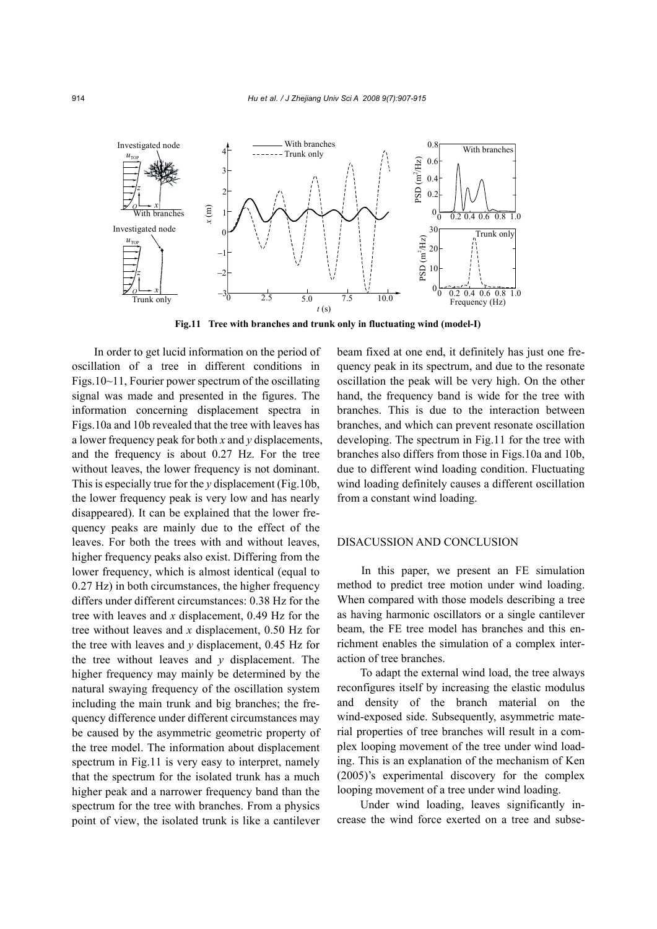

**Fig.11 Tree with branches and trunk only in fluctuating wind (model-I)** 

In order to get lucid information on the period of oscillation of a tree in different conditions in Figs.10~11, Fourier power spectrum of the oscillating signal was made and presented in the figures. The information concerning displacement spectra in Figs.10a and 10b revealed that the tree with leaves has a lower frequency peak for both *x* and *y* displacements, and the frequency is about 0.27 Hz. For the tree without leaves, the lower frequency is not dominant. This is especially true for the *y* displacement (Fig.10b, the lower frequency peak is very low and has nearly disappeared). It can be explained that the lower frequency peaks are mainly due to the effect of the leaves. For both the trees with and without leaves, higher frequency peaks also exist. Differing from the lower frequency, which is almost identical (equal to  $0.27$  Hz) in both circumstances, the higher frequency differs under different circumstances: 0.38 Hz for the tree with leaves and *x* displacement, 0.49 Hz for the tree without leaves and *x* displacement, 0.50 Hz for the tree with leaves and *y* displacement, 0.45 Hz for the tree without leaves and *y* displacement. The higher frequency may mainly be determined by the natural swaying frequency of the oscillation system including the main trunk and big branches; the frequency difference under different circumstances may be caused by the asymmetric geometric property of the tree model. The information about displacement spectrum in Fig.11 is very easy to interpret, namely that the spectrum for the isolated trunk has a much higher peak and a narrower frequency band than the spectrum for the tree with branches. From a physics point of view, the isolated trunk is like a cantilever

beam fixed at one end, it definitely has just one frequency peak in its spectrum, and due to the resonate oscillation the peak will be very high. On the other hand, the frequency band is wide for the tree with branches. This is due to the interaction between branches, and which can prevent resonate oscillation developing. The spectrum in Fig.11 for the tree with branches also differs from those in Figs.10a and 10b, due to different wind loading condition. Fluctuating wind loading definitely causes a different oscillation from a constant wind loading.

#### DISACUSSION AND CONCLUSION

In this paper, we present an FE simulation method to predict tree motion under wind loading. When compared with those models describing a tree as having harmonic oscillators or a single cantilever beam, the FE tree model has branches and this enrichment enables the simulation of a complex interaction of tree branches.

To adapt the external wind load, the tree always reconfigures itself by increasing the elastic modulus and density of the branch material on the wind-exposed side. Subsequently, asymmetric material properties of tree branches will result in a complex looping movement of the tree under wind loading. This is an explanation of the mechanism of Ken (2005)'s experimental discovery for the complex looping movement of a tree under wind loading.

Under wind loading, leaves significantly increase the wind force exerted on a tree and subse